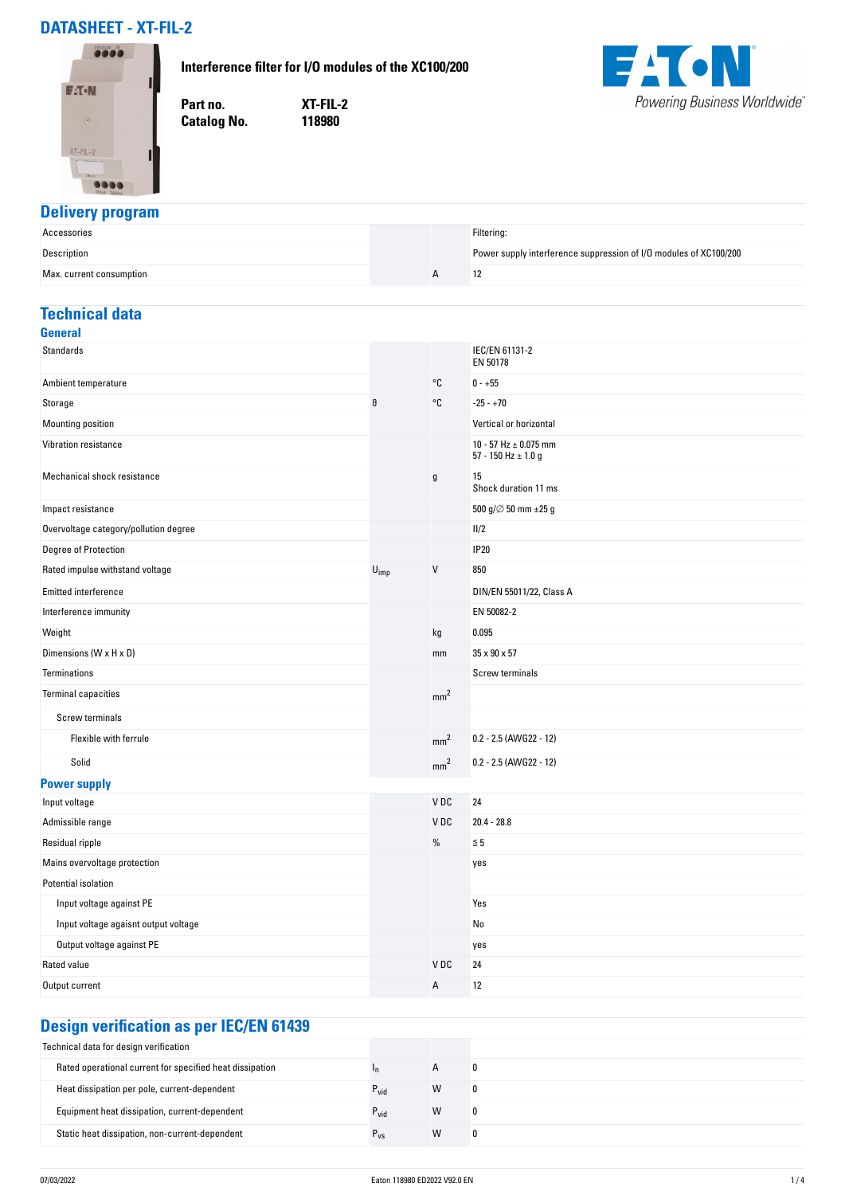# **DATASHEET - XT-FIL-2**

#### **Interference filter for I/O modules of the XC100/200**



**Part no. XT-FIL-2 Catalog No.** 



### **Delivery program**

| Accessories              |  | Filtering:                                                        |
|--------------------------|--|-------------------------------------------------------------------|
| Description              |  | Power supply interference suppression of I/O modules of XC100/200 |
| Max. current consumption |  | 12                                                                |

## **Technical data**

| <b>General</b>                        |                             |                 |                                                      |
|---------------------------------------|-----------------------------|-----------------|------------------------------------------------------|
| <b>Standards</b>                      |                             |                 | IEC/EN 61131-2<br>EN 50178                           |
| Ambient temperature                   |                             | °C              | $0 - +55$                                            |
| Storage                               | θ                           | °C              | $-25 - +70$                                          |
| Mounting position                     |                             |                 | Vertical or horizontal                               |
| Vibration resistance                  |                             |                 | 10 - 57 Hz $\pm$ 0.075 mm<br>57 - 150 Hz $\pm$ 1.0 g |
| Mechanical shock resistance           |                             | $\mathsf g$     | 15<br>Shock duration 11 ms                           |
| Impact resistance                     |                             |                 | 500 g/ $\varnothing$ 50 mm $\pm 25$ g                |
| Overvoltage category/pollution degree |                             |                 | 11/2                                                 |
| Degree of Protection                  |                             |                 | <b>IP20</b>                                          |
| Rated impulse withstand voltage       | $\mathsf{U}_{\mathsf{imp}}$ | $\mathsf{V}$    | 850                                                  |
| <b>Emitted interference</b>           |                             |                 | DIN/EN 55011/22, Class A                             |
| Interference immunity                 |                             |                 | EN 50082-2                                           |
| Weight                                |                             | kg              | 0.095                                                |
| Dimensions (W x H x D)                |                             | mm              | 35 x 90 x 57                                         |
| Terminations                          |                             |                 | Screw terminals                                      |
| <b>Terminal capacities</b>            |                             | mm <sup>2</sup> |                                                      |
| <b>Screw terminals</b>                |                             |                 |                                                      |
| Flexible with ferrule                 |                             | mm <sup>2</sup> | 0.2 - 2.5 (AWG22 - 12)                               |
| Solid                                 |                             | mm <sup>2</sup> | 0.2 - 2.5 (AWG22 - 12)                               |
| <b>Power supply</b>                   |                             |                 |                                                      |
| Input voltage                         |                             | VDC             | 24                                                   |
| Admissible range                      |                             | V <sub>DC</sub> | $20.4 - 28.8$                                        |
| Residual ripple                       |                             | $\%$            | $\leq 5$                                             |
| Mains overvoltage protection          |                             |                 | yes                                                  |
| Potential isolation                   |                             |                 |                                                      |
| Input voltage against PE              |                             |                 | Yes                                                  |
| Input voltage agaisnt output voltage  |                             |                 | No                                                   |
| Output voltage against PE             |                             |                 | yes                                                  |
| <b>Rated value</b>                    |                             | V <sub>DC</sub> | 24                                                   |
| Output current                        |                             | Α               | 12                                                   |
|                                       |                             |                 |                                                      |

# **Design verification as per IEC/EN 61439**

| Technical data for design verification                   |                  |              |  |
|----------------------------------------------------------|------------------|--------------|--|
| Rated operational current for specified heat dissipation |                  | $\mathsf{A}$ |  |
| Heat dissipation per pole, current-dependent             | $P_{vid}$        | W            |  |
| Equipment heat dissipation, current-dependent            | $P_{\text{vid}}$ | W            |  |
| Static heat dissipation, non-current-dependent           | $r_{VS}$         | W            |  |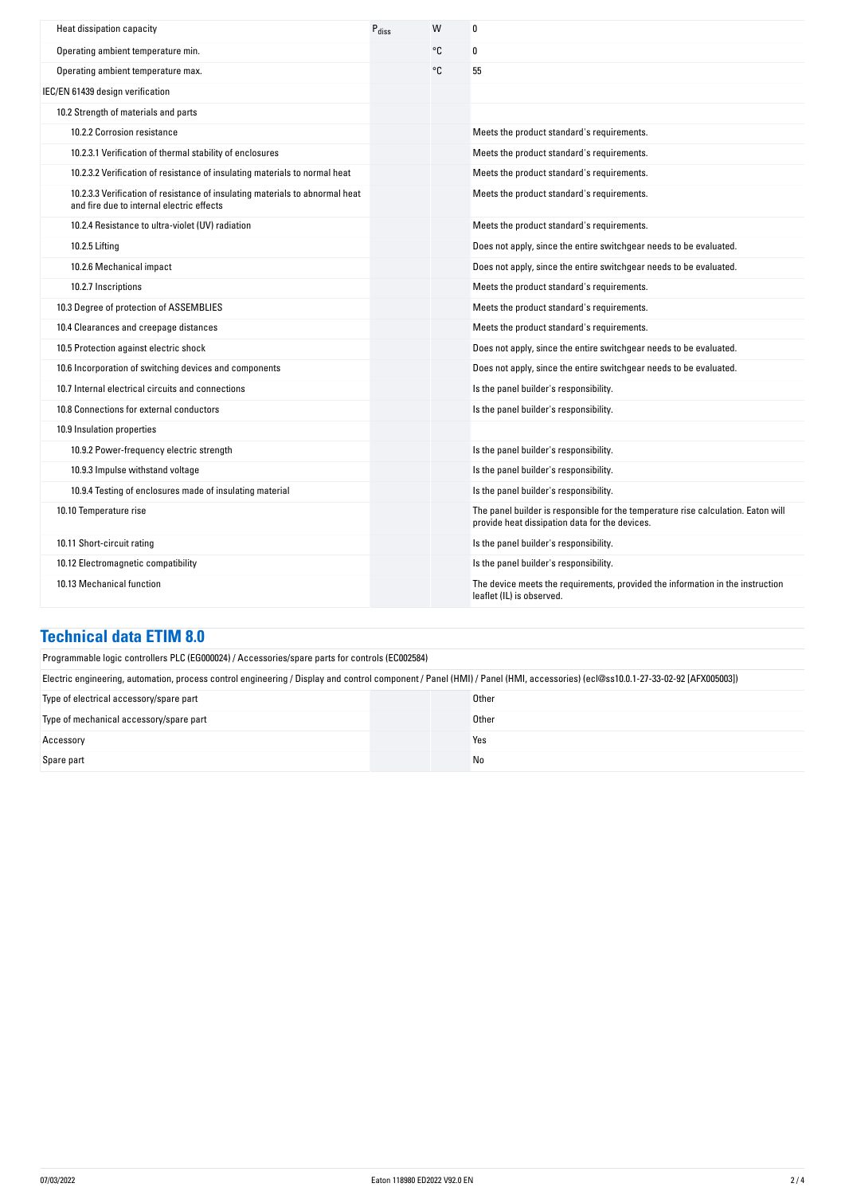| Heat dissipation capacity                                                                                                 | $P_{\text{diss}}$ | W  | 0                                                                                                                                   |
|---------------------------------------------------------------------------------------------------------------------------|-------------------|----|-------------------------------------------------------------------------------------------------------------------------------------|
| Operating ambient temperature min.                                                                                        |                   | °C | 0                                                                                                                                   |
| Operating ambient temperature max.                                                                                        |                   | °C | 55                                                                                                                                  |
| IEC/EN 61439 design verification                                                                                          |                   |    |                                                                                                                                     |
| 10.2 Strength of materials and parts                                                                                      |                   |    |                                                                                                                                     |
| 10.2.2 Corrosion resistance                                                                                               |                   |    | Meets the product standard's requirements.                                                                                          |
| 10.2.3.1 Verification of thermal stability of enclosures                                                                  |                   |    | Meets the product standard's requirements.                                                                                          |
| 10.2.3.2 Verification of resistance of insulating materials to normal heat                                                |                   |    | Meets the product standard's requirements.                                                                                          |
| 10.2.3.3 Verification of resistance of insulating materials to abnormal heat<br>and fire due to internal electric effects |                   |    | Meets the product standard's requirements.                                                                                          |
| 10.2.4 Resistance to ultra-violet (UV) radiation                                                                          |                   |    | Meets the product standard's requirements.                                                                                          |
| 10.2.5 Lifting                                                                                                            |                   |    | Does not apply, since the entire switchgear needs to be evaluated.                                                                  |
| 10.2.6 Mechanical impact                                                                                                  |                   |    | Does not apply, since the entire switchgear needs to be evaluated.                                                                  |
| 10.2.7 Inscriptions                                                                                                       |                   |    | Meets the product standard's requirements.                                                                                          |
| 10.3 Degree of protection of ASSEMBLIES                                                                                   |                   |    | Meets the product standard's requirements.                                                                                          |
| 10.4 Clearances and creepage distances                                                                                    |                   |    | Meets the product standard's requirements.                                                                                          |
| 10.5 Protection against electric shock                                                                                    |                   |    | Does not apply, since the entire switchgear needs to be evaluated.                                                                  |
| 10.6 Incorporation of switching devices and components                                                                    |                   |    | Does not apply, since the entire switchgear needs to be evaluated.                                                                  |
| 10.7 Internal electrical circuits and connections                                                                         |                   |    | Is the panel builder's responsibility.                                                                                              |
| 10.8 Connections for external conductors                                                                                  |                   |    | Is the panel builder's responsibility.                                                                                              |
| 10.9 Insulation properties                                                                                                |                   |    |                                                                                                                                     |
| 10.9.2 Power-frequency electric strength                                                                                  |                   |    | Is the panel builder's responsibility.                                                                                              |
| 10.9.3 Impulse withstand voltage                                                                                          |                   |    | Is the panel builder's responsibility.                                                                                              |
| 10.9.4 Testing of enclosures made of insulating material                                                                  |                   |    | Is the panel builder's responsibility.                                                                                              |
| 10.10 Temperature rise                                                                                                    |                   |    | The panel builder is responsible for the temperature rise calculation. Eaton will<br>provide heat dissipation data for the devices. |
| 10.11 Short-circuit rating                                                                                                |                   |    | Is the panel builder's responsibility.                                                                                              |
| 10.12 Electromagnetic compatibility                                                                                       |                   |    | Is the panel builder's responsibility.                                                                                              |
| 10.13 Mechanical function                                                                                                 |                   |    | The device meets the requirements, provided the information in the instruction<br>leaflet (IL) is observed.                         |

#### **Technical data ETIM 8.0**

| Programmable logic controllers PLC (EG000024) / Accessories/spare parts for controls (EC002584)                                                                               |       |  |
|-------------------------------------------------------------------------------------------------------------------------------------------------------------------------------|-------|--|
| Electric engineering, automation, process control engineering / Display and control component / Panel (HMI) / Panel (HMI, accessories) (ecl@ss10.0.1-27-33-02-92 [AFX005003]) |       |  |
| Type of electrical accessory/spare part                                                                                                                                       | Other |  |
| Type of mechanical accessory/spare part                                                                                                                                       | Other |  |
| Accessory                                                                                                                                                                     | Yes   |  |
| Spare part                                                                                                                                                                    | No    |  |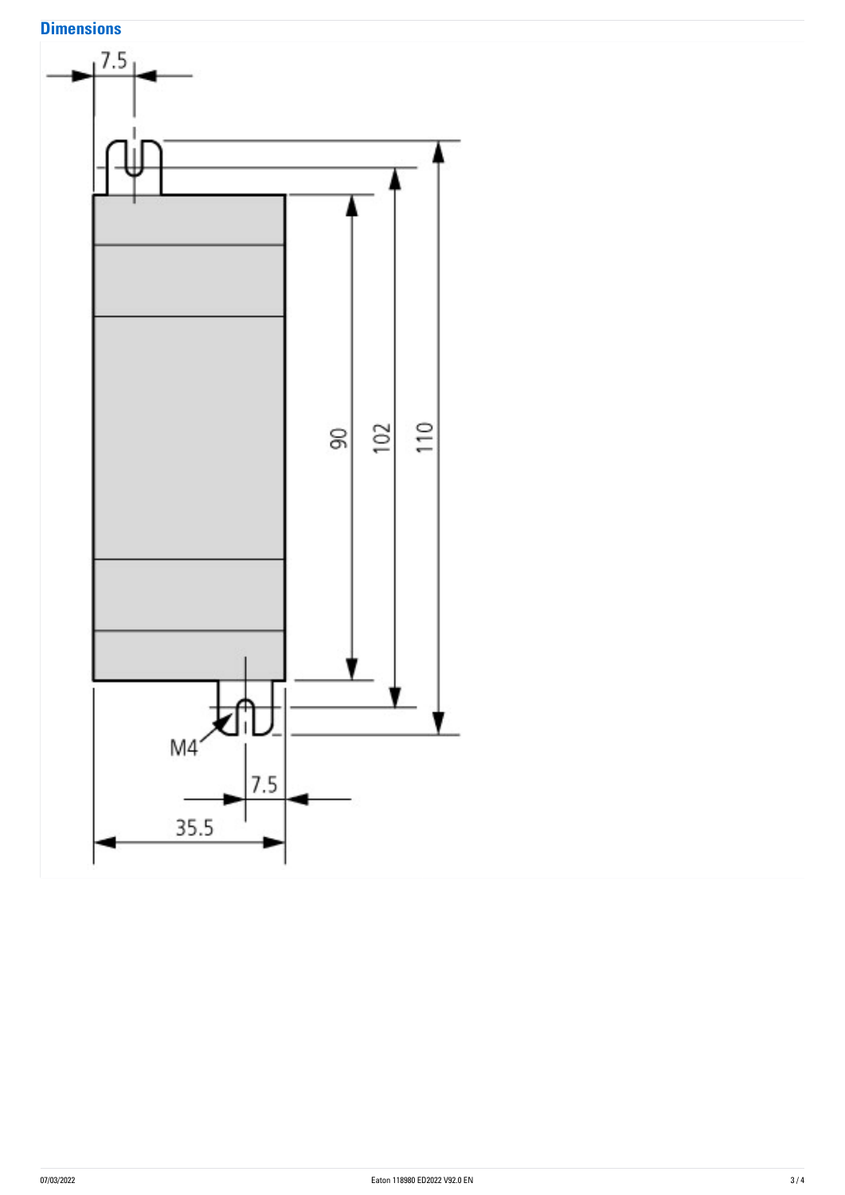# **Dimensions**